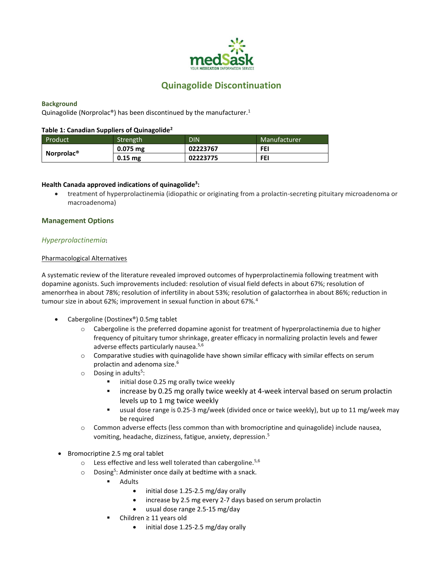

# **Quinagolide Discontinuation**

### **Background**

Quinagolide (Norprolac<sup>®</sup>) has been discontinued by the manufacturer.<sup>1</sup>

#### **Table 1: Canadian Suppliers of Quinagolide<sup>2</sup>**

| Product                | Strength   | DIN      | Manufacturer |
|------------------------|------------|----------|--------------|
| Norprolac <sup>®</sup> | $0.075$ mg | 02223767 | FEI          |
|                        | $0.15$ mg  | 02223775 | FEI          |

## **Health Canada approved indications of quinagolide<sup>3</sup> :**

• treatment of hyperprolactinemia (idiopathic or originating from a prolactin-secreting pituitary microadenoma or macroadenoma)

#### **Management Options**

#### *Hyperprolactinemia***:**

#### Pharmacological Alternatives

A systematic review of the literature revealed improved outcomes of hyperprolactinemia following treatment with dopamine agonists. Such improvements included: resolution of visual field defects in about 67%; resolution of amenorrhea in about 78%; resolution of infertility in about 53%; resolution of galactorrhea in about 86%; reduction in tumour size in about 62%; improvement in sexual function in about 67%.<sup>4</sup>

- Cabergoline (Dostinex®) 0.5mg tablet
	- o Cabergoline is the preferred dopamine agonist for treatment of hyperprolactinemia due to higher frequency of pituitary tumor shrinkage, greater efficacy in normalizing prolactin levels and fewer adverse effects particularly nausea.<sup>5,6</sup>
	- o Comparative studies with quinagolide have shown similar efficacy with similar effects on serum prolactin and adenoma size. 6
	- $\circ$  Dosing in adults<sup>5</sup>:
		- initial dose 0.25 mg orally twice weekly
		- increase by 0.25 mg orally twice weekly at 4-week interval based on serum prolactin levels up to 1 mg twice weekly
		- usual dose range is 0.25-3 mg/week (divided once or twice weekly), but up to 11 mg/week may be required
	- o Common adverse effects (less common than with bromocriptine and quinagolide) include nausea, vomiting, headache, dizziness, fatigue, anxiety, depression. 5
- Bromocriptine 2.5 mg oral tablet
	- $\circ$  Less effective and less well tolerated than cabergoline.<sup>5,6</sup>
	- $\circ$  Dosing<sup>5</sup>: Administer once daily at bedtime with a snack.
		- Adults
			- initial dose 1.25-2.5 mg/day orally
			- increase by 2.5 mg every 2-7 days based on serum prolactin
			- usual dose range 2.5-15 mg/day
		- Children ≥ 11 years old
			- initial dose 1.25-2.5 mg/day orally